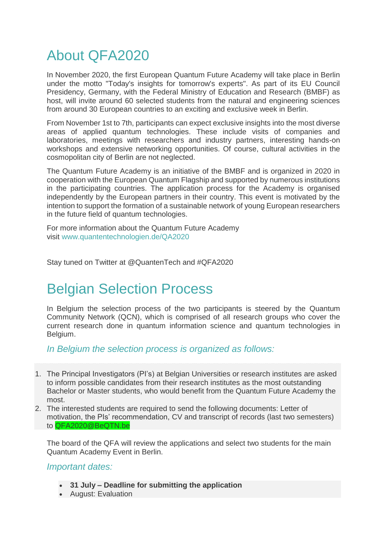## About QFA2020

In November 2020, the first European Quantum Future Academy will take place in Berlin under the motto "Today's insights for tomorrow's experts". As part of its EU Council Presidency, Germany, with the Federal Ministry of Education and Research (BMBF) as host, will invite around 60 selected students from the natural and engineering sciences from around 30 European countries to an exciting and exclusive week in Berlin.

From November 1st to 7th, participants can expect exclusive insights into the most diverse areas of applied quantum technologies. These include visits of companies and laboratories, meetings with researchers and industry partners, interesting hands-on workshops and extensive networking opportunities. Of course, cultural activities in the cosmopolitan city of Berlin are not neglected.

The Quantum Future Academy is an initiative of the BMBF and is organized in 2020 in cooperation with the European Quantum Flagship and supported by numerous institutions in the participating countries. The application process for the Academy is organised independently by the European partners in their country. This event is motivated by the intention to support the formation of a sustainable network of young European researchers in the future field of quantum technologies.

For more information about the Quantum Future Academy visit [www.quantentechnologien.de/QA2020](http://www.quantentechnologien.de/QA2020)

Stay tuned on Twitter at @QuantenTech and #QFA2020

## Belgian Selection Process

In Belgium the selection process of the two participants is steered by the Quantum Community Network (QCN), which is comprised of all research groups who cover the current research done in quantum information science and quantum technologies in Belgium.

*In Belgium the selection process is organized as follows:*

- 1. The Principal Investigators (PI's) at Belgian Universities or research institutes are asked to inform possible candidates from their research institutes as the most outstanding Bachelor or Master students, who would benefit from the Quantum Future Academy the most.
- 2. The interested students are required to send the following documents: Letter of motivation, the PIs' recommendation, CV and transcript of records (last two semesters) to QFA2020@BeQTN.be

The board of the QFA will review the applications and select two students for the main Quantum Academy Event in Berlin.

*Important dates:*

- **31 July – Deadline for submitting the application**
- August: Evaluation